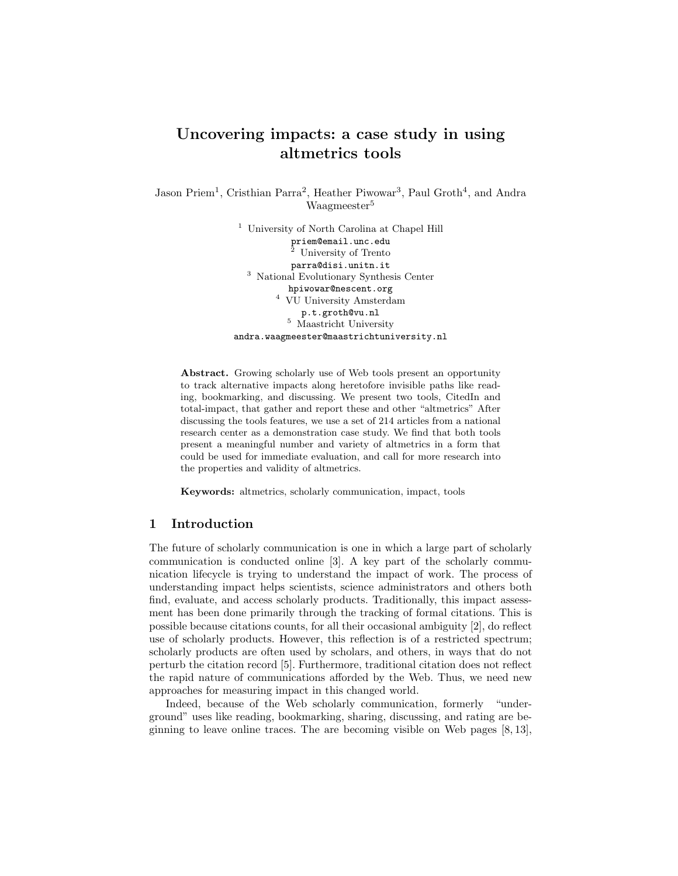# Uncovering impacts: a case study in using altmetrics tools

Jason Priem<sup>1</sup>, Cristhian Parra<sup>2</sup>, Heather Piwowar<sup>3</sup>, Paul Groth<sup>4</sup>, and Andra Waagmeester<sup>5</sup>

> <sup>1</sup> University of North Carolina at Chapel Hill priem@email.unc.edu <sup>2</sup> University of Trento parra@disi.unitn.it <sup>3</sup> National Evolutionary Synthesis Center hpiwowar@nescent.org <sup>4</sup> VU University Amsterdam p.t.groth@vu.nl <sup>5</sup> Maastricht University andra.waagmeester@maastrichtuniversity.nl

Abstract. Growing scholarly use of Web tools present an opportunity to track alternative impacts along heretofore invisible paths like reading, bookmarking, and discussing. We present two tools, CitedIn and total-impact, that gather and report these and other "altmetrics" After discussing the tools features, we use a set of 214 articles from a national research center as a demonstration case study. We find that both tools present a meaningful number and variety of altmetrics in a form that could be used for immediate evaluation, and call for more research into the properties and validity of altmetrics.

Keywords: altmetrics, scholarly communication, impact, tools

#### 1 Introduction

The future of scholarly communication is one in which a large part of scholarly communication is conducted online [3]. A key part of the scholarly communication lifecycle is trying to understand the impact of work. The process of understanding impact helps scientists, science administrators and others both find, evaluate, and access scholarly products. Traditionally, this impact assessment has been done primarily through the tracking of formal citations. This is possible because citations counts, for all their occasional ambiguity [2], do reflect use of scholarly products. However, this reflection is of a restricted spectrum; scholarly products are often used by scholars, and others, in ways that do not perturb the citation record [5]. Furthermore, traditional citation does not reflect the rapid nature of communications afforded by the Web. Thus, we need new approaches for measuring impact in this changed world.

Indeed, because of the Web scholarly communication, formerly "underground" uses like reading, bookmarking, sharing, discussing, and rating are beginning to leave online traces. The are becoming visible on Web pages [8, 13],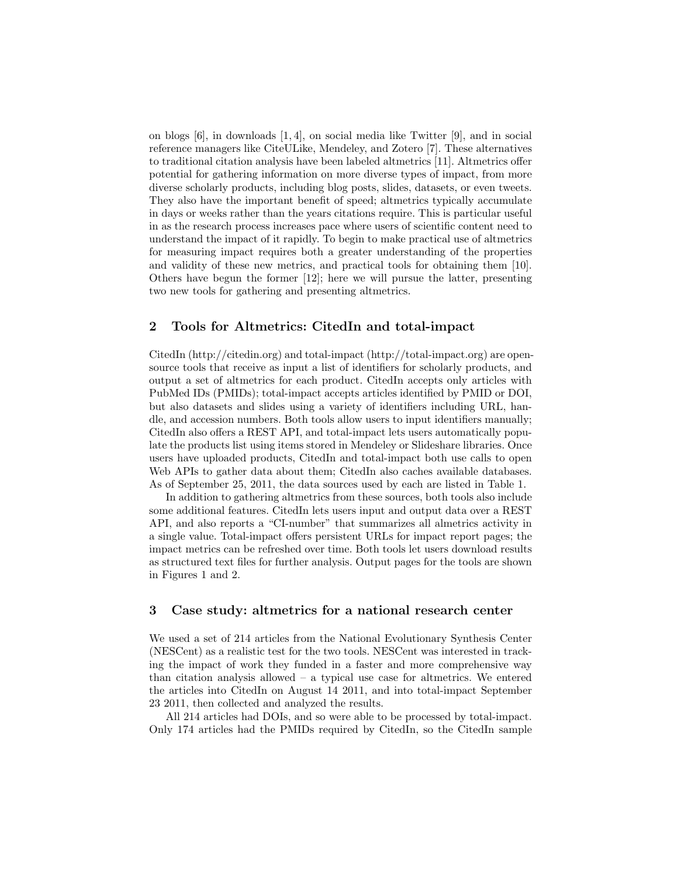on blogs [6], in downloads [1, 4], on social media like Twitter [9], and in social reference managers like CiteULike, Mendeley, and Zotero [7]. These alternatives to traditional citation analysis have been labeled altmetrics [11]. Altmetrics offer potential for gathering information on more diverse types of impact, from more diverse scholarly products, including blog posts, slides, datasets, or even tweets. They also have the important benefit of speed; altmetrics typically accumulate in days or weeks rather than the years citations require. This is particular useful in as the research process increases pace where users of scientific content need to understand the impact of it rapidly. To begin to make practical use of altmetrics for measuring impact requires both a greater understanding of the properties and validity of these new metrics, and practical tools for obtaining them [10]. Others have begun the former [12]; here we will pursue the latter, presenting two new tools for gathering and presenting altmetrics.

#### 2 Tools for Altmetrics: CitedIn and total-impact

CitedIn (http://citedin.org) and total-impact (http://total-impact.org) are opensource tools that receive as input a list of identifiers for scholarly products, and output a set of altmetrics for each product. CitedIn accepts only articles with PubMed IDs (PMIDs); total-impact accepts articles identified by PMID or DOI, but also datasets and slides using a variety of identifiers including URL, handle, and accession numbers. Both tools allow users to input identifiers manually; CitedIn also offers a REST API, and total-impact lets users automatically populate the products list using items stored in Mendeley or Slideshare libraries. Once users have uploaded products, CitedIn and total-impact both use calls to open Web APIs to gather data about them; CitedIn also caches available databases. As of September 25, 2011, the data sources used by each are listed in Table 1.

In addition to gathering altmetrics from these sources, both tools also include some additional features. CitedIn lets users input and output data over a REST API, and also reports a "CI-number" that summarizes all almetrics activity in a single value. Total-impact offers persistent URLs for impact report pages; the impact metrics can be refreshed over time. Both tools let users download results as structured text files for further analysis. Output pages for the tools are shown in Figures 1 and 2.

## 3 Case study: altmetrics for a national research center

We used a set of 214 articles from the National Evolutionary Synthesis Center (NESCent) as a realistic test for the two tools. NESCent was interested in tracking the impact of work they funded in a faster and more comprehensive way than citation analysis allowed  $-$  a typical use case for altmetrics. We entered the articles into CitedIn on August 14 2011, and into total-impact September 23 2011, then collected and analyzed the results.

All 214 articles had DOIs, and so were able to be processed by total-impact. Only 174 articles had the PMIDs required by CitedIn, so the CitedIn sample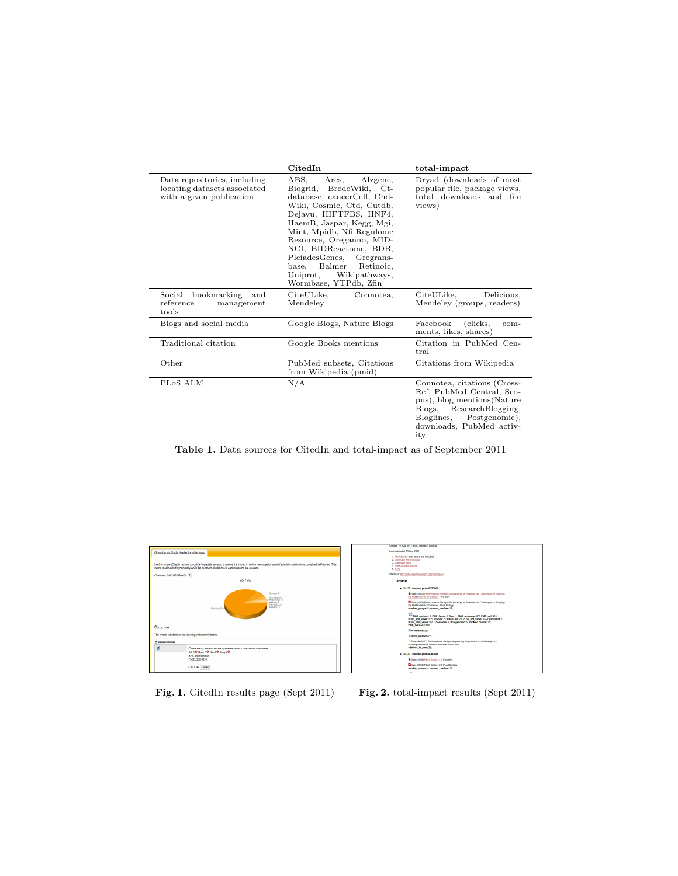|                                                                                          | CitedIn                                                                                                                                                                                                                                                                                                                                                                     | total-impact                                                                                                                                                                             |
|------------------------------------------------------------------------------------------|-----------------------------------------------------------------------------------------------------------------------------------------------------------------------------------------------------------------------------------------------------------------------------------------------------------------------------------------------------------------------------|------------------------------------------------------------------------------------------------------------------------------------------------------------------------------------------|
| Data repositories, including<br>locating datasets associated<br>with a given publication | ABS.<br>Ares.<br>Alzgene,<br>Biogrid, BredeWiki, Ct-<br>database, cancerCell, Chd-<br>Wiki, Cosmic, Ctd, Cutdb,<br>Dejavu, HIFTFBS, HNF4,<br>HaemB, Jaspar, Kegg, Mgi,<br>Mint, Mpidb, Nfi Regulome<br>Resource, Oreganno, MID-<br>NCI, BIDReactome, BDB,<br>PleiadesGenes, Gregrans-<br>Balmer<br>Retinoic.<br>base.<br>Uniprot,<br>Wikipathways,<br>Wormbase, YTPdb, Zfin | Dryad (downloads of most<br>popular file, package views,<br>total downloads and file<br>views)                                                                                           |
| Social bookmarking<br>and<br>reference<br>management<br>tools                            | CiteULike,<br>Connotea,<br>Mendeley                                                                                                                                                                                                                                                                                                                                         | Delicious,<br>CiteULike,<br>Mendeley (groups, readers)                                                                                                                                   |
| Blogs and social media                                                                   | Google Blogs, Nature Blogs                                                                                                                                                                                                                                                                                                                                                  | Facebook<br>(clicks,<br>com-<br>ments, likes, shares)                                                                                                                                    |
| Traditional citation                                                                     | Google Books mentions                                                                                                                                                                                                                                                                                                                                                       | Citation in PubMed Cen-<br>tral                                                                                                                                                          |
| Other                                                                                    | PubMed subsets, Citations<br>from Wikipedia (pmid)                                                                                                                                                                                                                                                                                                                          | Citations from Wikipedia                                                                                                                                                                 |
| PLoS ALM                                                                                 | N/A                                                                                                                                                                                                                                                                                                                                                                         | Connotea, citations (Cross-<br>Ref. PubMed Central, Sco-<br>pus), blog mentions (Nature<br>Blogs,<br>ResearchBlogging,<br>Postgenomic),<br>Bloglines,<br>downloads, PubMed activ-<br>ity |

Table 1. Data sources for CitedIn and total-impact as of September 2011



| Created 10 Aug. 2011 with 7 research artifacts.                                                                                                                                                                                                                      |
|----------------------------------------------------------------------------------------------------------------------------------------------------------------------------------------------------------------------------------------------------------------------|
| Last updated at 25 Sep. 2011.                                                                                                                                                                                                                                        |
| 1. Update now (may take a few minutes)<br>2. Start over with this seed.<br>3. Start over fresh<br>4. View as plain text list<br><b>5. FAQ</b>                                                                                                                        |
| Stable ust; http://ptal-impact.cep/report.php?id=hill-fel-                                                                                                                                                                                                           |
| article                                                                                                                                                                                                                                                              |
| - 10.1371/journal.pblo.0050082                                                                                                                                                                                                                                       |
| E Eisen (2007) Environmental Shotgun Sequencing; Its Potential and Challenges for Studying<br>the Hidden World of Microbes Plot Riof.                                                                                                                                |
| Ellisen (2007) Environmental Shotgun Sequencing: Its Potential and Challenges for Studying<br>the Hidden World of Microbes PLoS Blokesy.<br>number groups: 5: number readers: 16:                                                                                    |
| PMC_abstract: 2: PMC_figure: 6: Blod: 1: PMC_unique-lp: 672; PMC_pdf: 424;<br>PLoS xml views: 105: Scopus: 21: CiteULike: 28: PLoS pdf views: 3454: CrossRef: 21:<br>PLoS html views: 9551; Connotes: 2; Postpenomic: 5; PubMed Central: 25;<br>PMC full-text: 1300; |
| <b>Bookmarks: 28:</b>                                                                                                                                                                                                                                                |
| Warticle mentions: 1:                                                                                                                                                                                                                                                |
| 5 Elisen JA (2007) Environmental shotpun sequencing: its potential and challenges for<br>studying the hidden world of microbes. PLoS Biol.<br>citations in one: 25:                                                                                                  |
| - 10.1371/journal.pblo.0060048                                                                                                                                                                                                                                       |
| CEisen (2008) PLoS Biology 2.0 Plos Blot.                                                                                                                                                                                                                            |
| Elsen (2006) PLoS Biology 2.0 PLoS Biology.<br>number groups: 4: number readers: 13:                                                                                                                                                                                 |
|                                                                                                                                                                                                                                                                      |

Fig. 1. CitedIn results page (Sept 2011) Fig. 2. total-impact results (Sept 2011)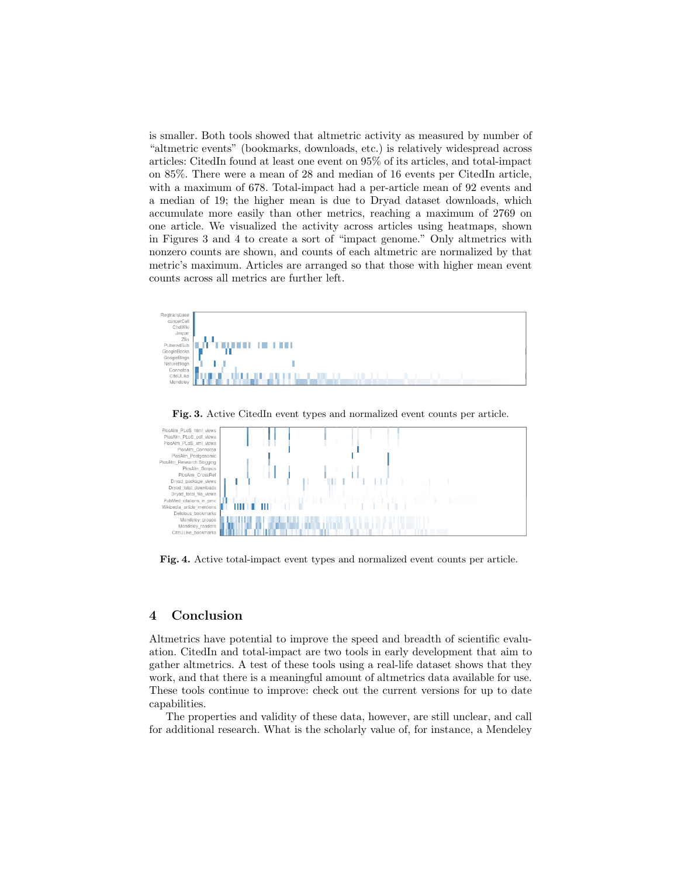is smaller. Both tools showed that altmetric activity as measured by number of "altmetric events" (bookmarks, downloads, etc.) is relatively widespread across articles: CitedIn found at least one event on 95% of its articles, and total-impact on 85%. There were a mean of 28 and median of 16 events per CitedIn article, with a maximum of 678. Total-impact had a per-article mean of 92 events and a median of 19; the higher mean is due to Dryad dataset downloads, which accumulate more easily than other metrics, reaching a maximum of 2769 on one article. We visualized the activity across articles using heatmaps, shown in Figures 3 and 4 to create a sort of "impact genome." Only altmetrics with nonzero counts are shown, and counts of each altmetric are normalized by that metric's maximum. Articles are arranged so that those with higher mean event counts across all metrics are further left.



Fig. 3. Active CitedIn event types and normalized event counts per article.



Fig. 4. Active total-impact event types and normalized event counts per article.

## 4 Conclusion

Altmetrics have potential to improve the speed and breadth of scientific evaluation. CitedIn and total-impact are two tools in early development that aim to gather altmetrics. A test of these tools using a real-life dataset shows that they work, and that there is a meaningful amount of altmetrics data available for use. These tools continue to improve: check out the current versions for up to date capabilities.

The properties and validity of these data, however, are still unclear, and call for additional research. What is the scholarly value of, for instance, a Mendeley